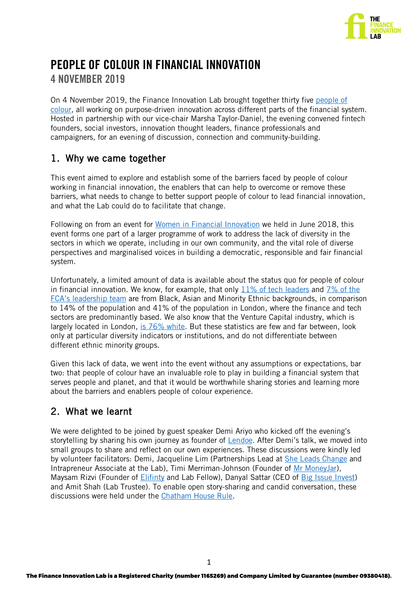

# PEOPLE OF COLOUR IN FINANCIAL INNOVATION 4 NOVEMBER 2019

On 4 November 2019, the Finance Innovation Lab brought together thirty five [people of](https://dictionary.cambridge.org/dictionary/english/person-of-colour)  [colour,](https://dictionary.cambridge.org/dictionary/english/person-of-colour) all working on purpose-driven innovation across different parts of the financial system. Hosted in partnership with our vice-chair Marsha Taylor-Daniel, the evening convened fintech founders, social investors, innovation thought leaders, finance professionals and campaigners, for an evening of discussion, connection and community-building.

# 1. Why we came together

This event aimed to explore and establish some of the barriers faced by people of colour working in financial innovation, the enablers that can help to overcome or remove these barriers, what needs to change to better support people of colour to lead financial innovation, and what the Lab could do to facilitate that change.

Following on from an event for [Women in Financial Innovation](https://financeinnovationlab.org/supporting-women-in-financial-innovation/) we held in June 2018, this event forms one part of a larger programme of work to address the lack of diversity in the sectors in which we operate, including in our own community, and the vital role of diverse perspectives and marginalised voices in building a democratic, responsible and fair financial system.

Unfortunately, a limited amount of data is available about the status quo for people of colour in financial innovation. We know, for example, that only  $11\%$  of tech leaders and 7% of the [FCA's leadership team](https://www.fca.org.uk/publication/corporate/annual-report-2018-19-diversity.pdf) are from Black, Asian and Minority Ethnic backgrounds, in comparison to 14% of the population and 41% of the population in London, where the finance and tech sectors are predominantly based. We also know that the Venture Capital industry, which is largely located in London, [is 76% white](http://www.diversity.vc/wp-content/uploads/2019/07/DiversityInVC_Report_10.07.2019_for_Web.pdf). But these statistics are few and far between, look only at particular diversity indicators or institutions, and do not differentiate between different ethnic minority groups.

Given this lack of data, we went into the event without any assumptions or expectations, bar two: that people of colour have an invaluable role to play in building a financial system that serves people and planet, and that it would be worthwhile sharing stories and learning more about the barriers and enablers people of colour experience.

# 2. What we learnt

We were delighted to be joined by guest speaker Demi Ariyo who kicked off the evening's storytelling by sharing his own journey as founder of [Lendoe.](https://www.lendoe.com/) After Demi's talk, we moved into small groups to share and reflect on our own experiences. These discussions were kindly led by volunteer facilitators: Demi, Jacqueline Lim (Partnerships Lead at [She Leads Change](https://sheleadschange.org/) and Intrapreneur Associate at the Lab), Timi Merriman-Johnson (Founder of [Mr MoneyJar\)](https://mailchi.mp/9cfadf330476/mrmnyjar), Maysam Rizvi (Founder of [Elifinty](https://www.elifinty.com/) and Lab Fellow), Danyal Sattar (CEO of [Big Issue Invest\)](https://bigissueinvest.com/) and Amit Shah (Lab Trustee). To enable open story-sharing and candid conversation, these discussions were held under the [Chatham House Rule](https://www.chathamhouse.org/chatham-house-rule?gclid=CjwKCAiArJjvBRACEiwA-Wiqq1Tm2IzPHEADVjm2oNAVw6mcYN8StXqyFVQOHdT1alijQ3U9rfOaKBoCRa0QAvD_BwE).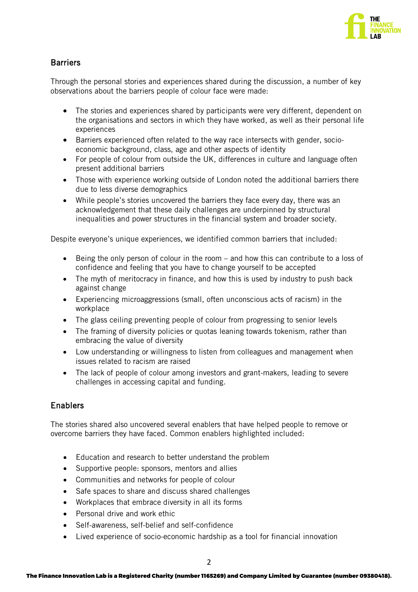

### **Barriers**

Through the personal stories and experiences shared during the discussion, a number of key observations about the barriers people of colour face were made:

- The stories and experiences shared by participants were very different, dependent on the organisations and sectors in which they have worked, as well as their personal life experiences
- Barriers experienced often related to the way race intersects with gender, socioeconomic background, class, age and other aspects of identity
- For people of colour from outside the UK, differences in culture and language often present additional barriers
- Those with experience working outside of London noted the additional barriers there due to less diverse demographics
- While people's stories uncovered the barriers they face every day, there was an acknowledgement that these daily challenges are underpinned by structural inequalities and power structures in the financial system and broader society.

Despite everyone's unique experiences, we identified common barriers that included:

- Being the only person of colour in the room and how this can contribute to a loss of confidence and feeling that you have to change yourself to be accepted
- The myth of meritocracy in finance, and how this is used by industry to push back against change
- Experiencing microaggressions (small, often unconscious acts of racism) in the workplace
- The glass ceiling preventing people of colour from progressing to senior levels
- The framing of diversity policies or quotas leaning towards tokenism, rather than embracing the value of diversity
- Low understanding or willingness to listen from colleagues and management when issues related to racism are raised
- The lack of people of colour among investors and grant-makers, leading to severe challenges in accessing capital and funding.

#### Enablers

The stories shared also uncovered several enablers that have helped people to remove or overcome barriers they have faced. Common enablers highlighted included:

- Education and research to better understand the problem
- Supportive people: sponsors, mentors and allies
- Communities and networks for people of colour
- Safe spaces to share and discuss shared challenges
- Workplaces that embrace diversity in all its forms
- Personal drive and work ethic
- Self-awareness, self-belief and self-confidence
- Lived experience of socio-economic hardship as a tool for financial innovation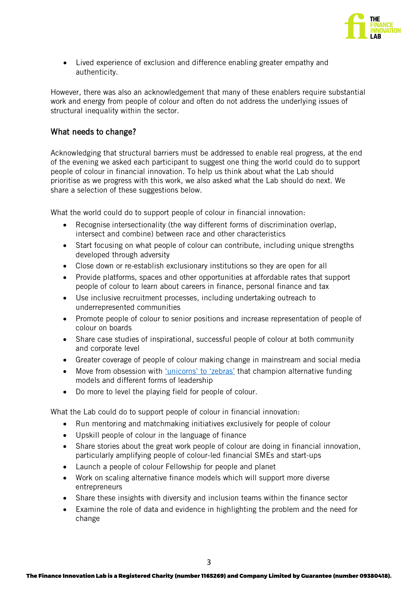

• Lived experience of exclusion and difference enabling greater empathy and authenticity.

However, there was also an acknowledgement that many of these enablers require substantial work and energy from people of colour and often do not address the underlying issues of structural inequality within the sector.

#### What needs to change?

Acknowledging that structural barriers must be addressed to enable real progress, at the end of the evening we asked each participant to suggest one thing the world could do to support people of colour in financial innovation. To help us think about what the Lab should prioritise as we progress with this work, we also asked what the Lab should do next. We share a selection of these suggestions below.

What the world could do to support people of colour in financial innovation:

- Recognise intersectionality (the way different forms of discrimination overlap, intersect and combine) between race and other characteristics
- Start focusing on what people of colour can contribute, including unique strengths developed through adversity
- Close down or re-establish exclusionary institutions so they are open for all
- Provide platforms, spaces and other opportunities at affordable rates that support people of colour to learn about careers in finance, personal finance and tax
- Use inclusive recruitment processes, including undertaking outreach to underrepresented communities
- Promote people of colour to senior positions and increase representation of people of colour on boards
- Share case studies of inspirational, successful people of colour at both community and corporate level
- Greater coverage of people of colour making change in mainstream and social media
- Move from obsession with ['unicorns' to 'zebras'](https://drive.google.com/file/d/0Byz2RjA4k1QpazQtQzl1bWpMdGM/view) that champion alternative funding models and different forms of leadership
- Do more to level the playing field for people of colour.

What the Lab could do to support people of colour in financial innovation:

- Run mentoring and matchmaking initiatives exclusively for people of colour
- Upskill people of colour in the language of finance
- Share stories about the great work people of colour are doing in financial innovation, particularly amplifying people of colour-led financial SMEs and start-ups
- Launch a people of colour Fellowship for people and planet
- Work on scaling alternative finance models which will support more diverse entrepreneurs
- Share these insights with diversity and inclusion teams within the finance sector
- Examine the role of data and evidence in highlighting the problem and the need for change